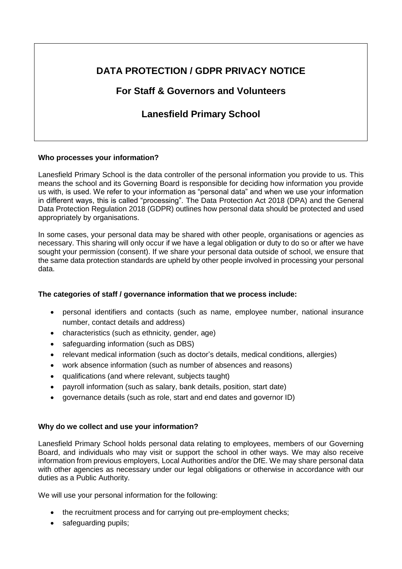# **DATA PROTECTION / GDPR PRIVACY NOTICE**

## **For Staff & Governors and Volunteers**

# **Lanesfield Primary School**

### **Who processes your information?**

Lanesfield Primary School is the data controller of the personal information you provide to us. This means the school and its Governing Board is responsible for deciding how information you provide us with, is used. We refer to your information as "personal data" and when we use your information in different ways, this is called "processing". The Data Protection Act 2018 (DPA) and the General Data Protection Regulation 2018 (GDPR) outlines how personal data should be protected and used appropriately by organisations.

In some cases, your personal data may be shared with other people, organisations or agencies as necessary. This sharing will only occur if we have a legal obligation or duty to do so or after we have sought your permission (consent). If we share your personal data outside of school, we ensure that the same data protection standards are upheld by other people involved in processing your personal data.

## **The categories of staff / governance information that we process include:**

- personal identifiers and contacts (such as name, employee number, national insurance number, contact details and address)
- characteristics (such as ethnicity, gender, age)
- safeguarding information (such as DBS)
- relevant medical information (such as doctor's details, medical conditions, allergies)
- work absence information (such as number of absences and reasons)
- qualifications (and where relevant, subjects taught)
- payroll information (such as salary, bank details, position, start date)
- governance details (such as role, start and end dates and governor ID)

## **Why do we collect and use your information?**

Lanesfield Primary School holds personal data relating to employees, members of our Governing Board, and individuals who may visit or support the school in other ways. We may also receive information from previous employers, Local Authorities and/or the DfE. We may share personal data with other agencies as necessary under our legal obligations or otherwise in accordance with our duties as a Public Authority.

We will use your personal information for the following:

- the recruitment process and for carrying out pre-employment checks;
- safeguarding pupils: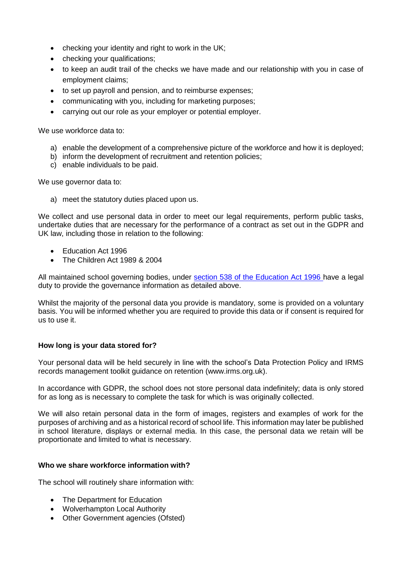- checking your identity and right to work in the UK;
- checking your qualifications;
- to keep an audit trail of the checks we have made and our relationship with you in case of employment claims;
- to set up payroll and pension, and to reimburse expenses;
- communicating with you, including for marketing purposes;
- carrying out our role as your employer or potential employer.

We use workforce data to:

- a) enable the development of a comprehensive picture of the workforce and how it is deployed;
- b) inform the development of recruitment and retention policies;
- c) enable individuals to be paid.

We use governor data to:

a) meet the statutory duties placed upon us.

We collect and use personal data in order to meet our legal requirements, perform public tasks, undertake duties that are necessary for the performance of a contract as set out in the GDPR and UK law, including those in relation to the following:

- Education Act 1996
- The Children Act 1989 & 2004

All maintained school governing bodies, under [section 538 of the Education Act 1996](http://www.legislation.gov.uk/ukpga/1996/56/section/538) have a legal duty to provide the governance information as detailed above.

Whilst the majority of the personal data you provide is mandatory, some is provided on a voluntary basis. You will be informed whether you are required to provide this data or if consent is required for us to use it.

#### **How long is your data stored for?**

Your personal data will be held securely in line with the school's Data Protection Policy and IRMS records management toolkit guidance on retention (www.irms.org.uk).

In accordance with GDPR, the school does not store personal data indefinitely; data is only stored for as long as is necessary to complete the task for which is was originally collected.

We will also retain personal data in the form of images, registers and examples of work for the purposes of archiving and as a historical record of school life. This information may later be published in school literature, displays or external media. In this case, the personal data we retain will be proportionate and limited to what is necessary.

#### **Who we share workforce information with?**

The school will routinely share information with:

- The Department for Education
- Wolverhampton Local Authority
- Other Government agencies (Ofsted)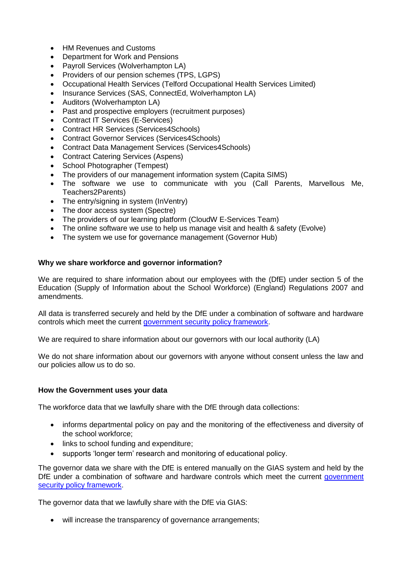- HM Revenues and Customs
- Department for Work and Pensions
- Payroll Services (Wolverhampton LA)
- Providers of our pension schemes (TPS, LGPS)
- Occupational Health Services (Telford Occupational Health Services Limited)
- Insurance Services (SAS, ConnectEd, Wolverhampton LA)
- Auditors (Wolverhampton LA)
- Past and prospective employers (recruitment purposes)
- Contract IT Services (E-Services)
- Contract HR Services (Services4Schools)
- Contract Governor Services (Services4Schools)
- Contract Data Management Services (Services4Schools)
- Contract Catering Services (Aspens)
- School Photographer (Tempest)
- The providers of our management information system (Capita SIMS)
- The software we use to communicate with you (Call Parents, Marvellous Me, Teachers2Parents)
- The entry/signing in system (InVentry)
- The door access system (Spectre)
- The providers of our learning platform (CloudW E-Services Team)
- The online software we use to help us manage visit and health & safety (Evolve)
- The system we use for governance management (Governor Hub)

### **Why we share workforce and governor information?**

We are required to share information about our emplovees with the (DfE) under section 5 of the Education (Supply of Information about the School Workforce) (England) Regulations 2007 and amendments.

All data is transferred securely and held by the DfE under a combination of software and hardware controls which meet the current [government security policy framework.](https://www.gov.uk/government/publications/security-policy-framework)

We are required to share information about our governors with our local authority (LA)

We do not share information about our governors with anyone without consent unless the law and our policies allow us to do so.

#### **How the Government uses your data**

The workforce data that we lawfully share with the DfE through data collections:

- informs departmental policy on pay and the monitoring of the effectiveness and diversity of the school workforce;
- links to school funding and expenditure;
- supports 'longer term' research and monitoring of educational policy.

The governor data we share with the DfE is entered manually on the GIAS system and held by the DfE under a combination of software and hardware controls which meet the current government [security policy framework.](https://www.gov.uk/government/publications/security-policy-framework)

The governor data that we lawfully share with the DfE via GIAS:

will increase the transparency of governance arrangements;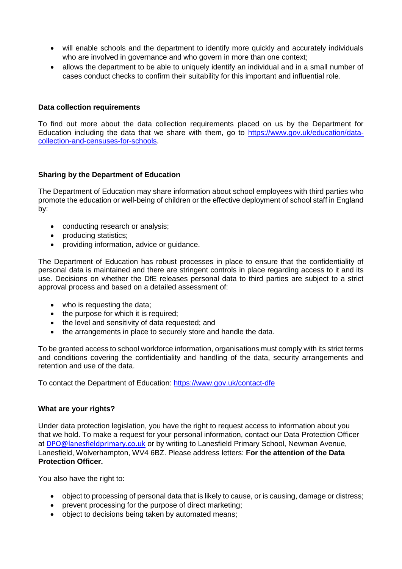- will enable schools and the department to identify more quickly and accurately individuals who are involved in governance and who govern in more than one context;
- allows the department to be able to uniquely identify an individual and in a small number of cases conduct checks to confirm their suitability for this important and influential role.

#### **Data collection requirements**

To find out more about the data collection requirements placed on us by the Department for Education including the data that we share with them, go to [https://www.gov.uk/education/data](https://www.gov.uk/education/data-collection-and-censuses-for-schools)[collection-and-censuses-for-schools.](https://www.gov.uk/education/data-collection-and-censuses-for-schools)

#### **Sharing by the Department of Education**

The Department of Education may share information about school employees with third parties who promote the education or well-being of children or the effective deployment of school staff in England by:

- conducting research or analysis;
- producing statistics:
- providing information, advice or guidance.

The Department of Education has robust processes in place to ensure that the confidentiality of personal data is maintained and there are stringent controls in place regarding access to it and its use. Decisions on whether the DfE releases personal data to third parties are subject to a strict approval process and based on a detailed assessment of:

- who is requesting the data;
- the purpose for which it is required;
- the level and sensitivity of data requested; and
- the arrangements in place to securely store and handle the data.

To be granted access to school workforce information, organisations must comply with its strict terms and conditions covering the confidentiality and handling of the data, security arrangements and retention and use of the data.

To contact the Department of Education:<https://www.gov.uk/contact-dfe>

#### **What are your rights?**

Under data protection legislation, you have the right to request access to information about you that we hold. To make a request for your personal information, contact our Data Protection Officer at DPO@lanesfieldprimary.co.uk or by writing to Lanesfield Primary School, Newman Avenue, Lanesfield, Wolverhampton, WV4 6BZ. Please address letters: **For the attention of the Data Protection Officer.** 

You also have the right to:

- object to processing of personal data that is likely to cause, or is causing, damage or distress;
- prevent processing for the purpose of direct marketing;
- object to decisions being taken by automated means;